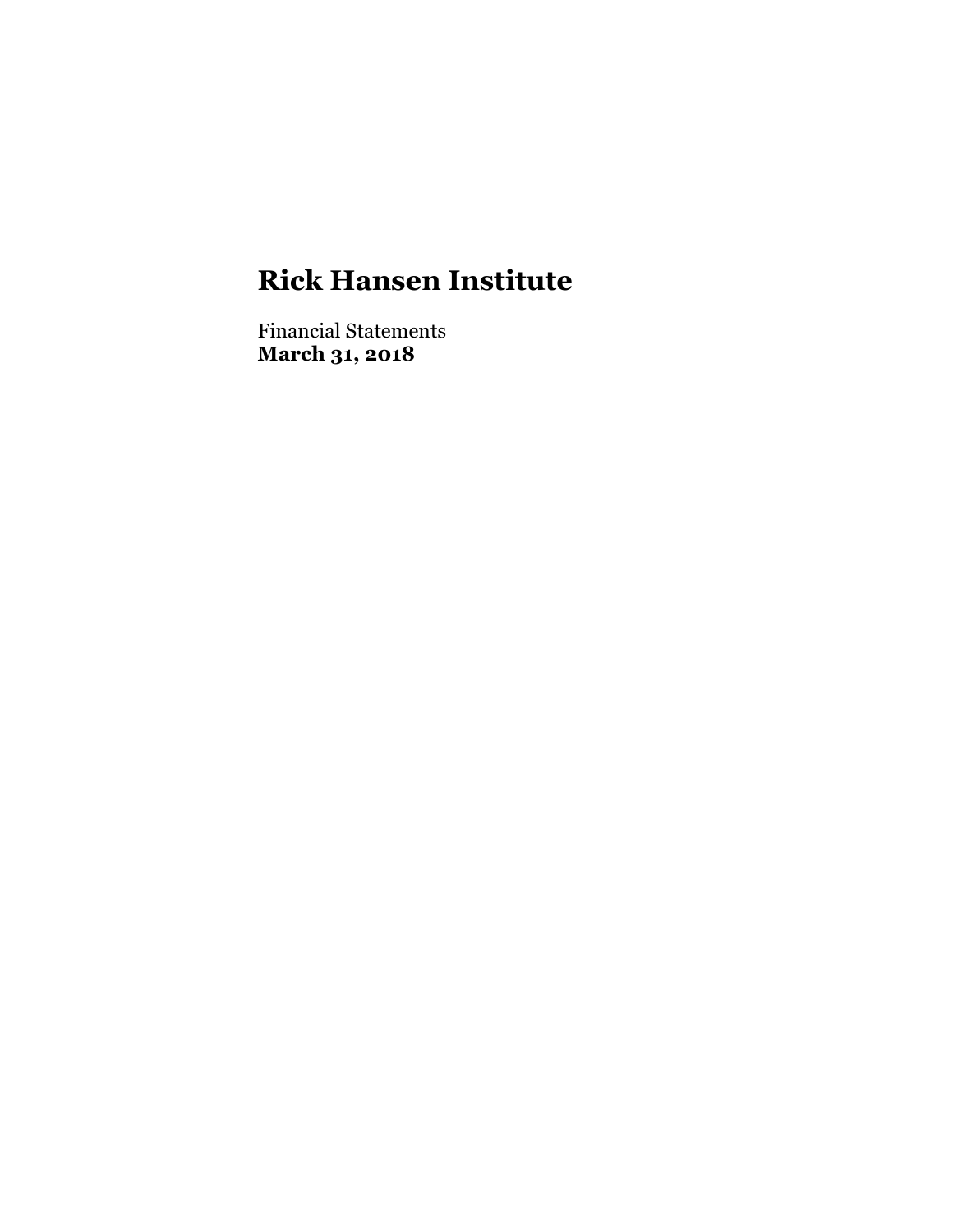Financial Statements **March 31, 2018**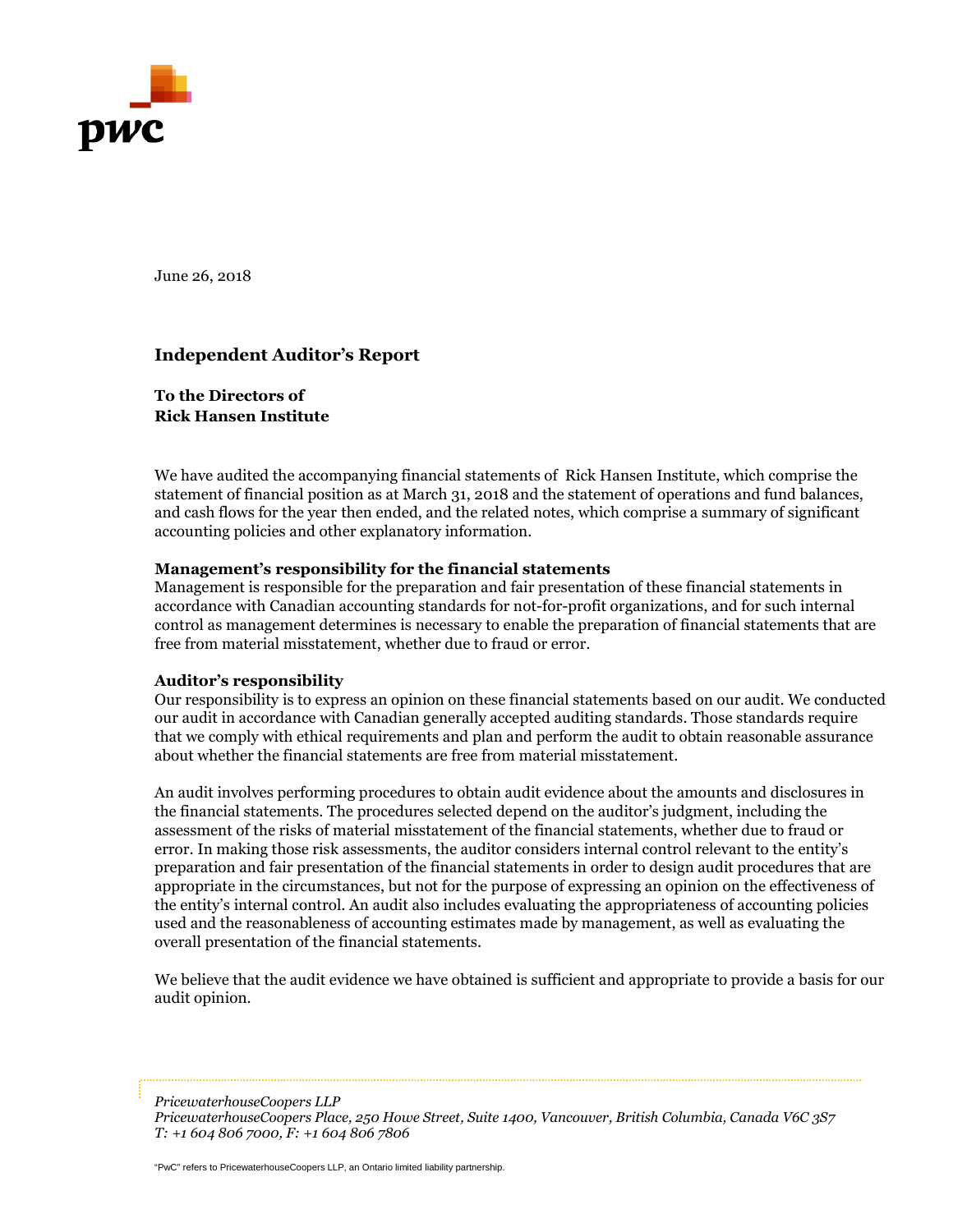

June 26, 2018

#### **Independent Auditor's Report**

**To the Directors of Rick Hansen Institute**

We have audited the accompanying financial statements of Rick Hansen Institute, which comprise the statement of financial position as at March 31, 2018 and the statement of operations and fund balances, and cash flows for the year then ended, and the related notes, which comprise a summary of significant accounting policies and other explanatory information.

#### **Management's responsibility for the financial statements**

Management is responsible for the preparation and fair presentation of these financial statements in accordance with Canadian accounting standards for not-for-profit organizations, and for such internal control as management determines is necessary to enable the preparation of financial statements that are free from material misstatement, whether due to fraud or error.

#### **Auditor's responsibility**

Our responsibility is to express an opinion on these financial statements based on our audit. We conducted our audit in accordance with Canadian generally accepted auditing standards. Those standards require that we comply with ethical requirements and plan and perform the audit to obtain reasonable assurance about whether the financial statements are free from material misstatement.

An audit involves performing procedures to obtain audit evidence about the amounts and disclosures in the financial statements. The procedures selected depend on the auditor's judgment, including the assessment of the risks of material misstatement of the financial statements, whether due to fraud or error. In making those risk assessments, the auditor considers internal control relevant to the entity's preparation and fair presentation of the financial statements in order to design audit procedures that are appropriate in the circumstances, but not for the purpose of expressing an opinion on the effectiveness of the entity's internal control. An audit also includes evaluating the appropriateness of accounting policies used and the reasonableness of accounting estimates made by management, as well as evaluating the overall presentation of the financial statements.

We believe that the audit evidence we have obtained is sufficient and appropriate to provide a basis for our audit opinion.

*PricewaterhouseCoopers LLP*

"PwC" refers to PricewaterhouseCoopers LLP, an Ontario limited liability partnership.

*PricewaterhouseCoopers Place, 250 Howe Street, Suite 1400, Vancouver, British Columbia, Canada V6C 3S7 T: +1 604 806 7000, F: +1 604 806 7806*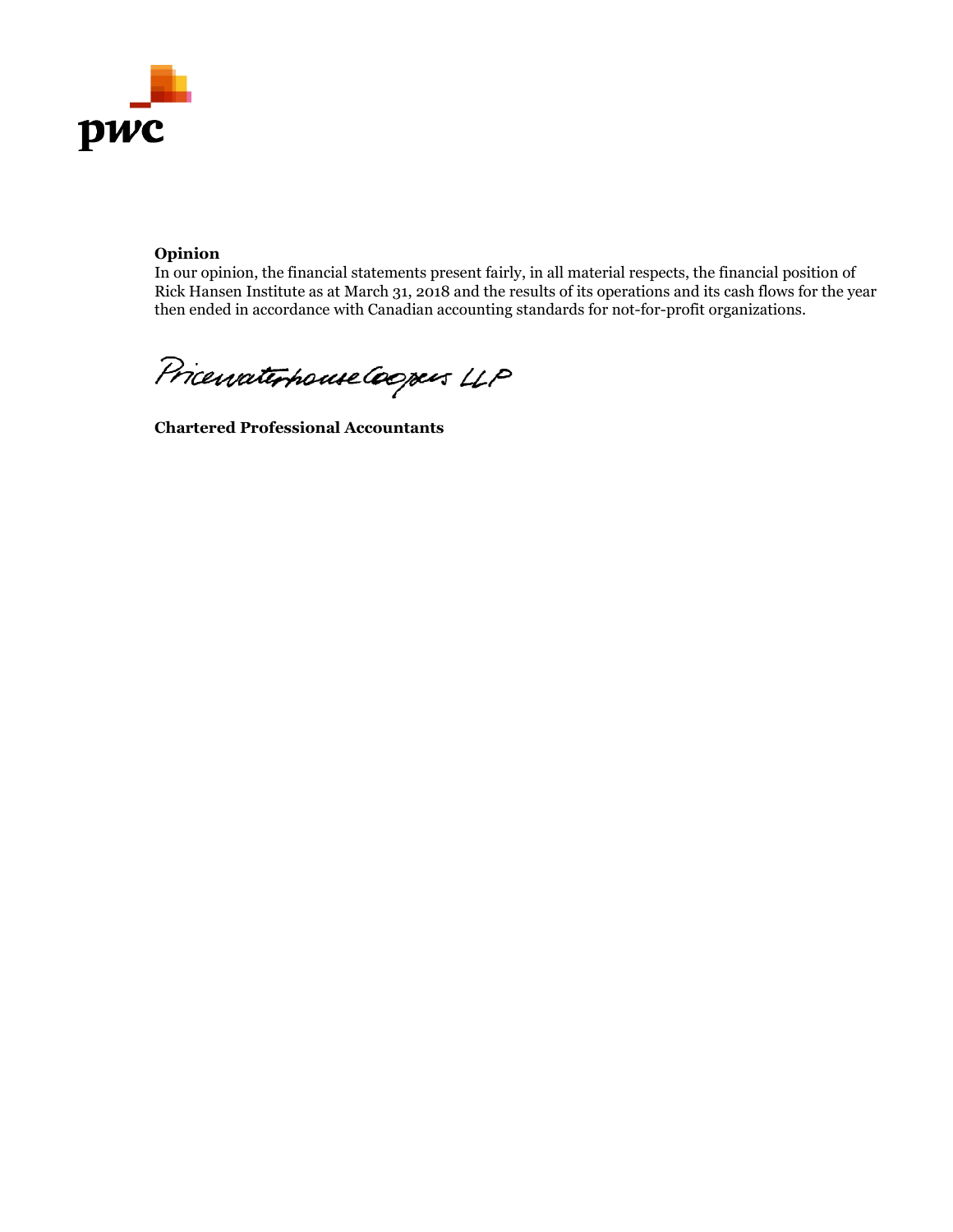

#### **Opinion**

In our opinion, the financial statements present fairly, in all material respects, the financial position of Rick Hansen Institute as at March 31, 2018 and the results of its operations and its cash flows for the year then ended in accordance with Canadian accounting standards for not-for-profit organizations.

Pricevaterhouse Coopers LLP

**Chartered Professional Accountants**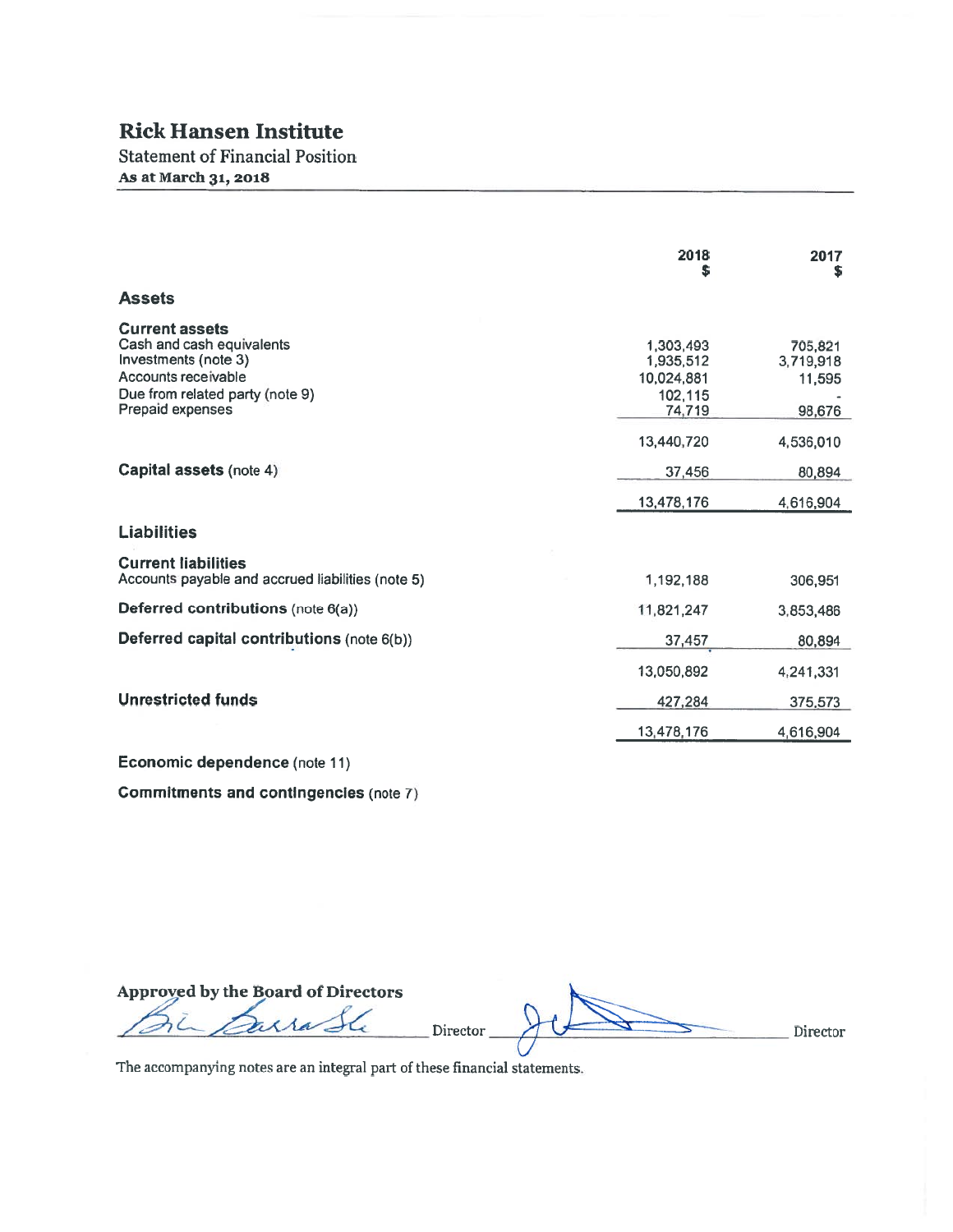**Statement of Financial Position** As at March 31, 2018

|                                                                                                                                                          | 2018                                                      | 2017<br>S                                |
|----------------------------------------------------------------------------------------------------------------------------------------------------------|-----------------------------------------------------------|------------------------------------------|
| <b>Assets</b>                                                                                                                                            |                                                           |                                          |
| <b>Current assets</b><br>Cash and cash equivalents<br>Investments (note 3)<br>Accounts receivable<br>Due from related party (note 9)<br>Prepaid expenses | 1,303,493<br>1,935,512<br>10,024,881<br>102,115<br>74,719 | 705,821<br>3,719,918<br>11,595<br>98,676 |
|                                                                                                                                                          | 13,440,720                                                | 4,536,010                                |
| Capital assets (note 4)                                                                                                                                  | 37,456                                                    | 80,894                                   |
|                                                                                                                                                          | 13,478,176                                                | 4,616,904                                |
| <b>Liabilities</b>                                                                                                                                       |                                                           |                                          |
| <b>Current liabilities</b><br>Accounts payable and accrued liabilities (note 5)                                                                          | 1,192,188                                                 | 306,951                                  |
| Deferred contributions (note 6(a))                                                                                                                       | 11,821,247                                                | 3,853,486                                |
| Deferred capital contributions (note 6(b))                                                                                                               | 37,457                                                    | 80,894                                   |
|                                                                                                                                                          | 13,050,892                                                | 4,241,331                                |
| <b>Unrestricted funds</b>                                                                                                                                | 427,284                                                   | 375,573                                  |
|                                                                                                                                                          | 13,478,176                                                | 4,616,904                                |
| Economic dependence (note 11)                                                                                                                            |                                                           |                                          |

**Commitments and contingencies (note 7)** 

Approved by the Board of Directors Director. Director

The accompanying notes are an integral part of these financial statements.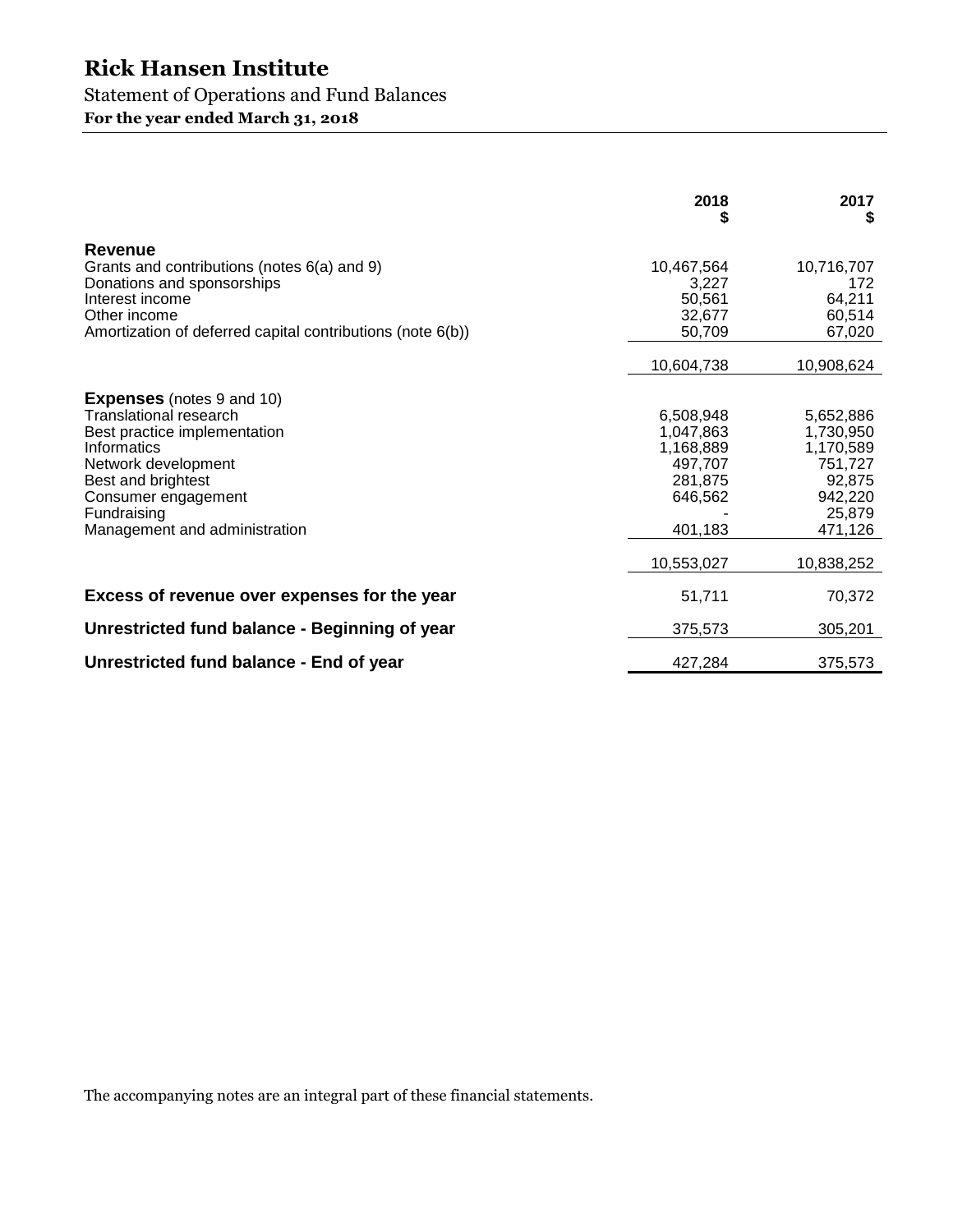### Statement of Operations and Fund Balances

**For the year ended March 31, 2018** 

|                                                                                                                                                                                                                               | 2018                                                                            | 2017<br>S                                                                                |
|-------------------------------------------------------------------------------------------------------------------------------------------------------------------------------------------------------------------------------|---------------------------------------------------------------------------------|------------------------------------------------------------------------------------------|
| Revenue<br>Grants and contributions (notes 6(a) and 9)<br>Donations and sponsorships<br>Interest income<br>Other income<br>Amortization of deferred capital contributions (note 6(b))                                         | 10,467,564<br>3,227<br>50,561<br>32,677<br>50,709                               | 10,716,707<br>172<br>64,211<br>60,514<br>67,020                                          |
|                                                                                                                                                                                                                               | 10,604,738                                                                      | 10,908,624                                                                               |
| <b>Expenses</b> (notes 9 and 10)<br>Translational research<br>Best practice implementation<br>Informatics<br>Network development<br>Best and brightest<br>Consumer engagement<br>Fundraising<br>Management and administration | 6,508,948<br>1,047,863<br>1,168,889<br>497,707<br>281,875<br>646,562<br>401,183 | 5,652,886<br>1,730,950<br>1,170,589<br>751,727<br>92,875<br>942,220<br>25,879<br>471,126 |
|                                                                                                                                                                                                                               | 10,553,027                                                                      | 10,838,252                                                                               |
| Excess of revenue over expenses for the year                                                                                                                                                                                  | 51,711                                                                          | 70,372                                                                                   |
| Unrestricted fund balance - Beginning of year                                                                                                                                                                                 | 375,573                                                                         | 305,201                                                                                  |
| Unrestricted fund balance - End of year                                                                                                                                                                                       | 427,284                                                                         | 375,573                                                                                  |

The accompanying notes are an integral part of these financial statements.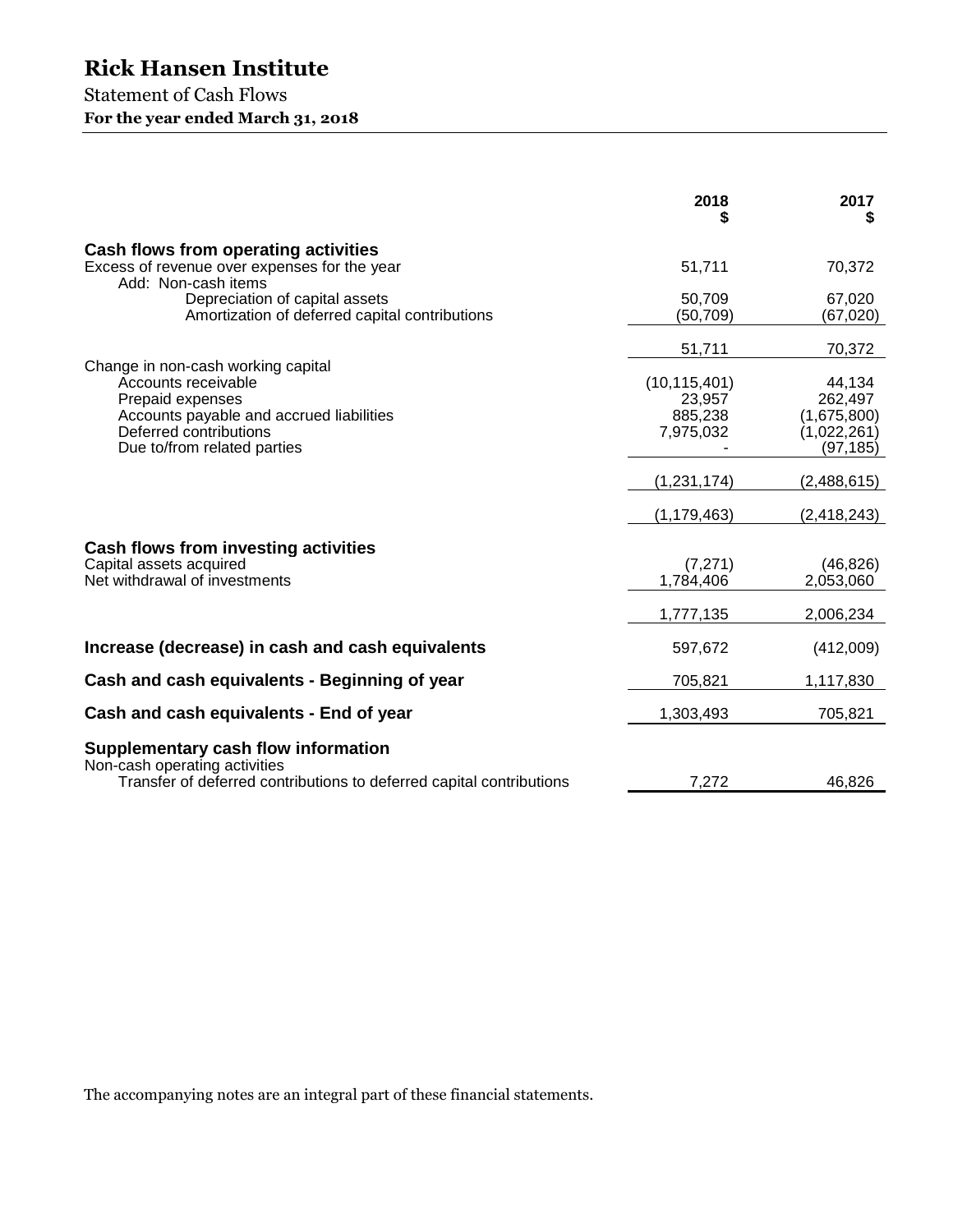### Statement of Cash Flows **For the year ended March 31, 2018**

|                                                                                                                                              | 2018                                             | 2017<br>5                                                    |
|----------------------------------------------------------------------------------------------------------------------------------------------|--------------------------------------------------|--------------------------------------------------------------|
| Cash flows from operating activities<br>Excess of revenue over expenses for the year<br>Add: Non-cash items                                  | 51,711                                           | 70,372                                                       |
| Depreciation of capital assets<br>Amortization of deferred capital contributions                                                             | 50,709<br>(50, 709)                              | 67,020<br>(67, 020)                                          |
| Change in non-cash working capital                                                                                                           | 51,711                                           | 70,372                                                       |
| Accounts receivable<br>Prepaid expenses<br>Accounts payable and accrued liabilities<br>Deferred contributions<br>Due to/from related parties | (10, 115, 401)<br>23,957<br>885,238<br>7,975,032 | 44,134<br>262,497<br>(1,675,800)<br>(1,022,261)<br>(97, 185) |
|                                                                                                                                              | (1,231,174)<br>(1, 179, 463)                     | (2,488,615)                                                  |
| <b>Cash flows from investing activities</b><br>Capital assets acquired<br>Net withdrawal of investments                                      | (7,271)<br>1,784,406                             | (2, 418, 243)<br>(46, 826)<br>2,053,060                      |
|                                                                                                                                              | 1,777,135                                        | 2,006,234                                                    |
| Increase (decrease) in cash and cash equivalents                                                                                             | 597,672                                          | (412,009)                                                    |
| Cash and cash equivalents - Beginning of year                                                                                                | 705,821                                          | 1,117,830                                                    |
| Cash and cash equivalents - End of year                                                                                                      | 1,303,493                                        | 705,821                                                      |
| Supplementary cash flow information<br>Non-cash operating activities<br>Transfer of deferred contributions to deferred capital contributions | 7,272                                            | 46,826                                                       |
|                                                                                                                                              |                                                  |                                                              |

The accompanying notes are an integral part of these financial statements.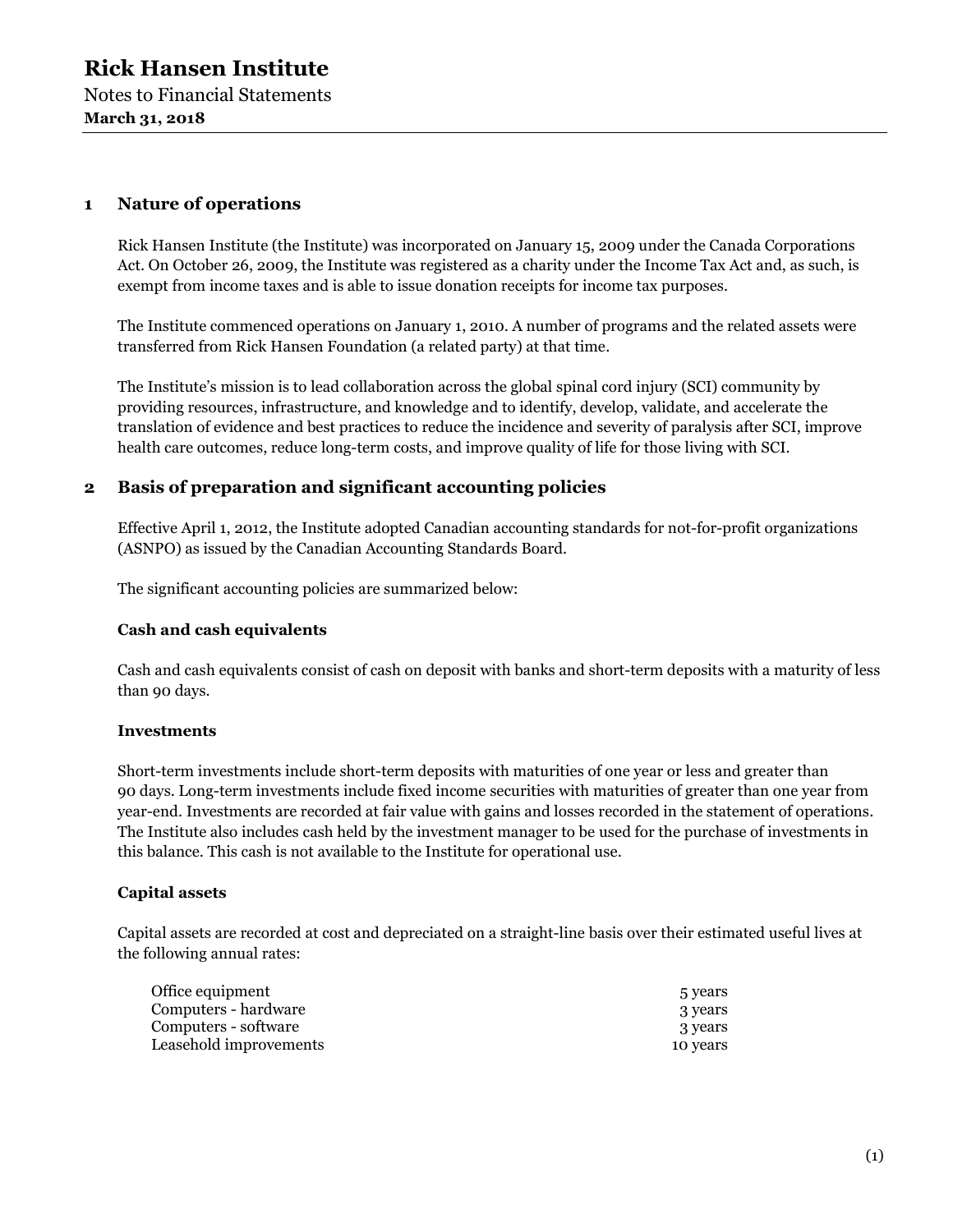#### **1 Nature of operations**

Rick Hansen Institute (the Institute) was incorporated on January 15, 2009 under the Canada Corporations Act. On October 26, 2009, the Institute was registered as a charity under the Income Tax Act and, as such, is exempt from income taxes and is able to issue donation receipts for income tax purposes.

The Institute commenced operations on January 1, 2010. A number of programs and the related assets were transferred from Rick Hansen Foundation (a related party) at that time.

The Institute's mission is to lead collaboration across the global spinal cord injury (SCI) community by providing resources, infrastructure, and knowledge and to identify, develop, validate, and accelerate the translation of evidence and best practices to reduce the incidence and severity of paralysis after SCI, improve health care outcomes, reduce long-term costs, and improve quality of life for those living with SCI.

#### **2 Basis of preparation and significant accounting policies**

Effective April 1, 2012, the Institute adopted Canadian accounting standards for not-for-profit organizations (ASNPO) as issued by the Canadian Accounting Standards Board.

The significant accounting policies are summarized below:

#### **Cash and cash equivalents**

Cash and cash equivalents consist of cash on deposit with banks and short-term deposits with a maturity of less than 90 days.

#### **Investments**

Short-term investments include short-term deposits with maturities of one year or less and greater than 90 days. Long-term investments include fixed income securities with maturities of greater than one year from year-end. Investments are recorded at fair value with gains and losses recorded in the statement of operations. The Institute also includes cash held by the investment manager to be used for the purchase of investments in this balance. This cash is not available to the Institute for operational use.

#### **Capital assets**

Capital assets are recorded at cost and depreciated on a straight-line basis over their estimated useful lives at the following annual rates:

| 5 years  |
|----------|
| 3 years  |
| 3 years  |
| 10 years |
|          |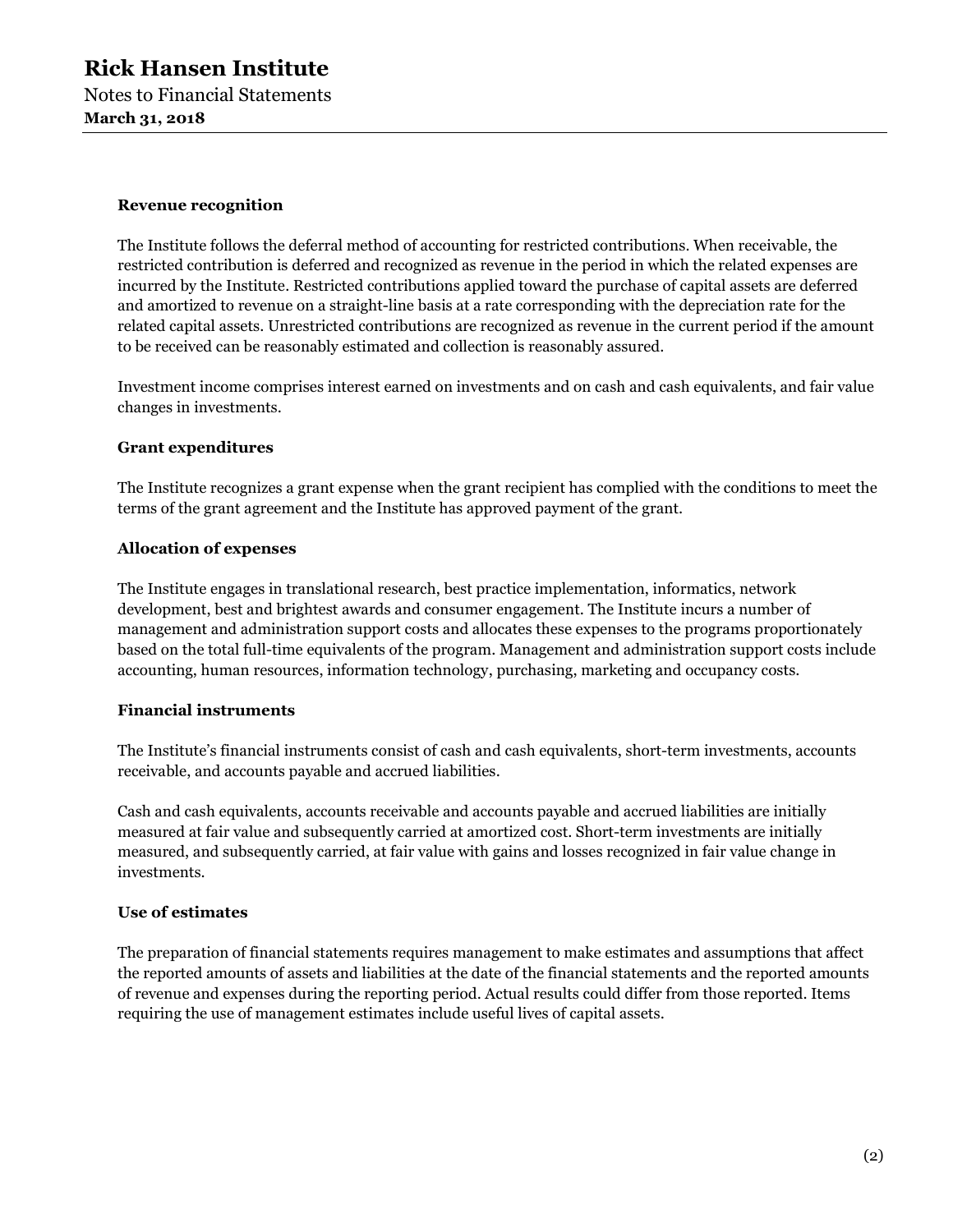#### **Revenue recognition**

The Institute follows the deferral method of accounting for restricted contributions. When receivable, the restricted contribution is deferred and recognized as revenue in the period in which the related expenses are incurred by the Institute. Restricted contributions applied toward the purchase of capital assets are deferred and amortized to revenue on a straight-line basis at a rate corresponding with the depreciation rate for the related capital assets. Unrestricted contributions are recognized as revenue in the current period if the amount to be received can be reasonably estimated and collection is reasonably assured.

Investment income comprises interest earned on investments and on cash and cash equivalents, and fair value changes in investments.

#### **Grant expenditures**

The Institute recognizes a grant expense when the grant recipient has complied with the conditions to meet the terms of the grant agreement and the Institute has approved payment of the grant.

#### **Allocation of expenses**

The Institute engages in translational research, best practice implementation, informatics, network development, best and brightest awards and consumer engagement. The Institute incurs a number of management and administration support costs and allocates these expenses to the programs proportionately based on the total full-time equivalents of the program. Management and administration support costs include accounting, human resources, information technology, purchasing, marketing and occupancy costs.

#### **Financial instruments**

The Institute's financial instruments consist of cash and cash equivalents, short-term investments, accounts receivable, and accounts payable and accrued liabilities.

Cash and cash equivalents, accounts receivable and accounts payable and accrued liabilities are initially measured at fair value and subsequently carried at amortized cost. Short-term investments are initially measured, and subsequently carried, at fair value with gains and losses recognized in fair value change in investments.

#### **Use of estimates**

The preparation of financial statements requires management to make estimates and assumptions that affect the reported amounts of assets and liabilities at the date of the financial statements and the reported amounts of revenue and expenses during the reporting period. Actual results could differ from those reported. Items requiring the use of management estimates include useful lives of capital assets.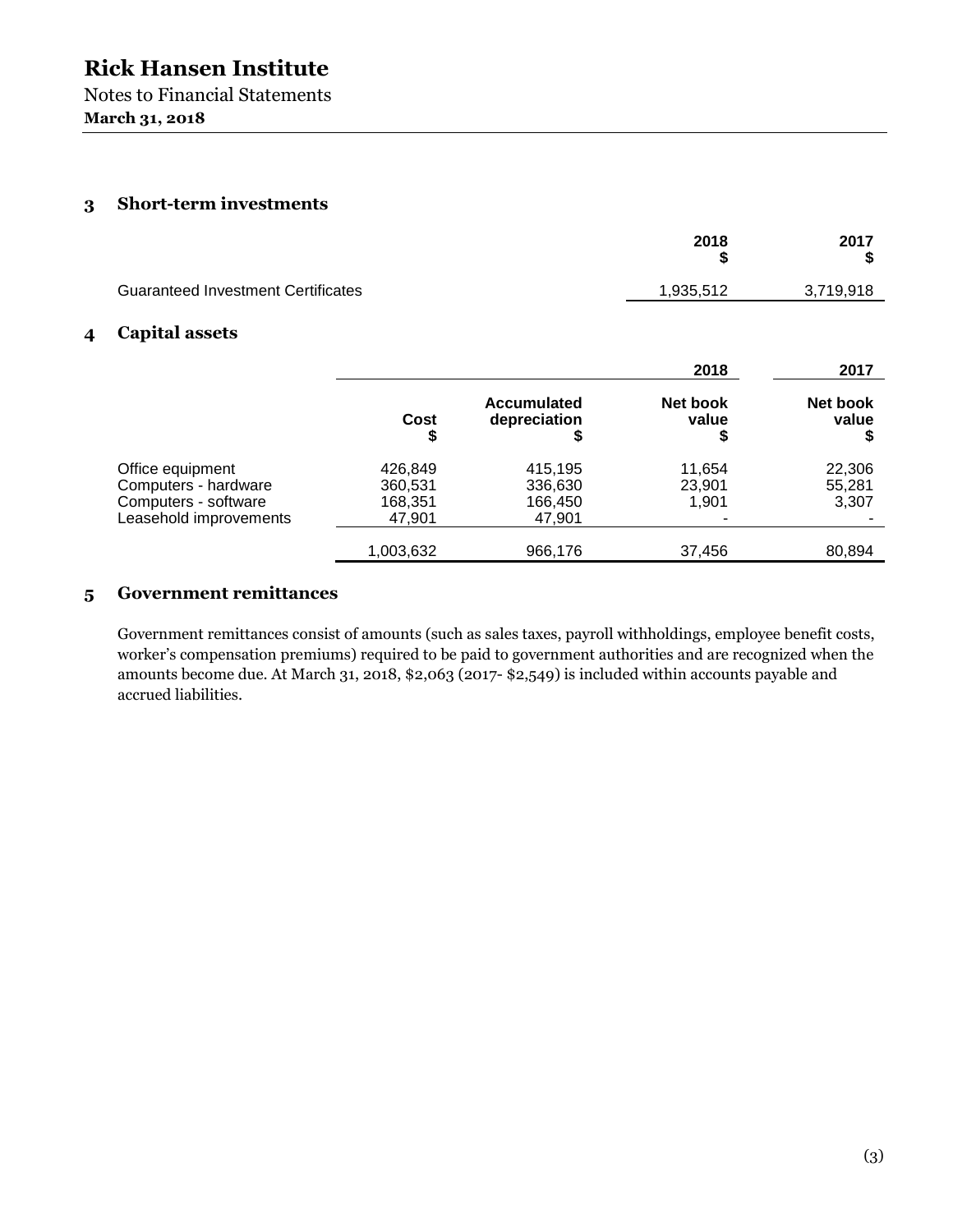Notes to Financial Statements **March 31, 2018** 

#### **3 Short-term investments**

|                                           | 2018      | 2017      |
|-------------------------------------------|-----------|-----------|
| <b>Guaranteed Investment Certificates</b> | 1,935,512 | 3,719,918 |

#### **4 Capital assets**

|                        |            |                                    | 2018              | 2017              |
|------------------------|------------|------------------------------------|-------------------|-------------------|
|                        | Cost<br>\$ | <b>Accumulated</b><br>depreciation | Net book<br>value | Net book<br>value |
| Office equipment       | 426,849    | 415,195                            | 11.654            | 22,306            |
| Computers - hardware   | 360,531    | 336,630                            | 23.901            | 55,281            |
| Computers - software   | 168,351    | 166,450                            | 1.901             | 3,307             |
| Leasehold improvements | 47,901     | 47,901                             |                   |                   |
|                        | 1,003,632  | 966,176                            | 37,456            | 80,894            |

#### **5 Government remittances**

Government remittances consist of amounts (such as sales taxes, payroll withholdings, employee benefit costs, worker's compensation premiums) required to be paid to government authorities and are recognized when the amounts become due. At March 31, 2018, \$2,063 (2017- \$2,549) is included within accounts payable and accrued liabilities.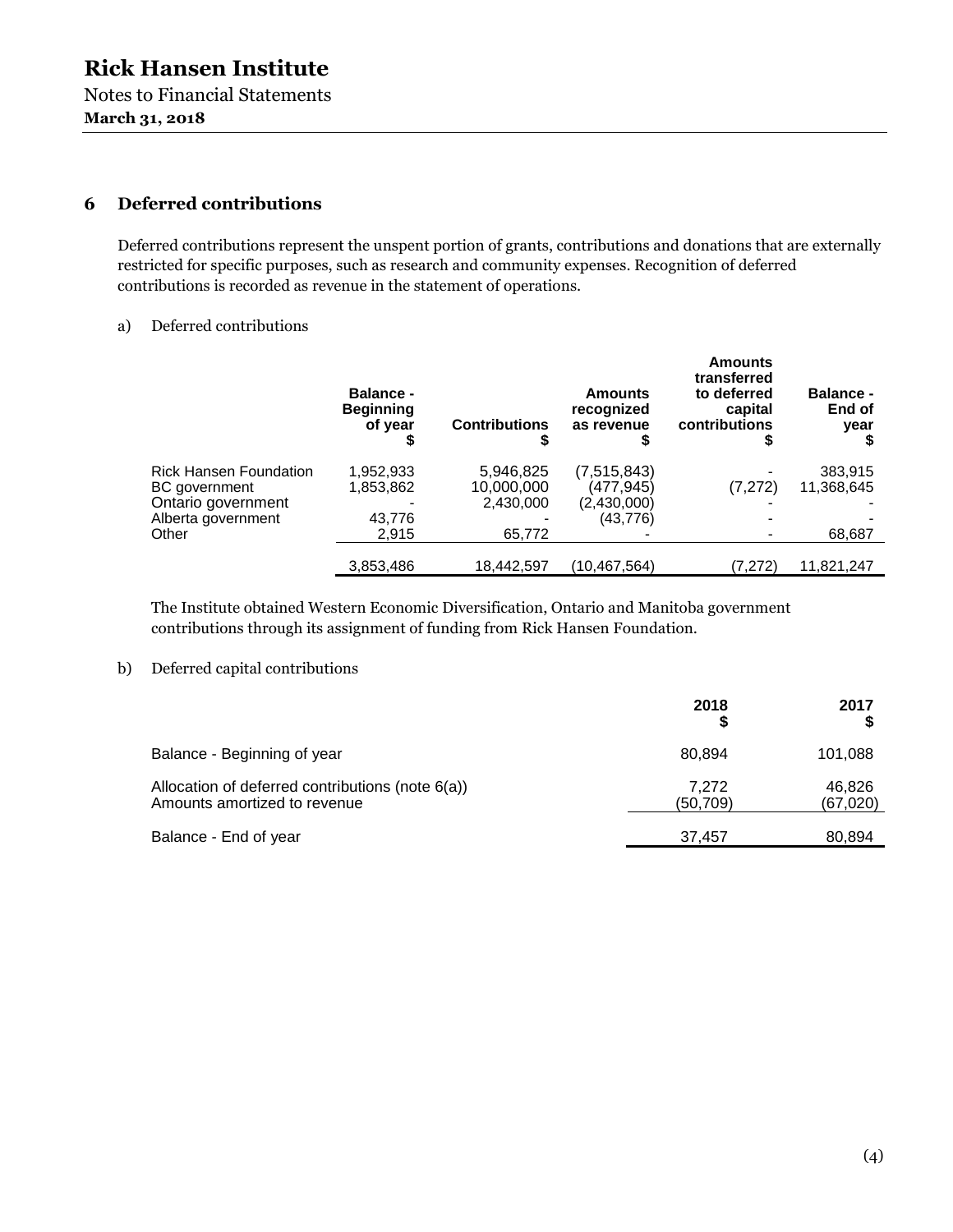#### **6 Deferred contributions**

Deferred contributions represent the unspent portion of grants, contributions and donations that are externally restricted for specific purposes, such as research and community expenses. Recognition of deferred contributions is recorded as revenue in the statement of operations.

#### a) Deferred contributions

| <b>Balance -</b><br><b>Beginning</b><br>of year | <b>Contributions</b> | <b>Amounts</b><br>recognized<br>as revenue | <b>Amounts</b><br>transferred<br>to deferred<br>capital<br>contributions | <b>Balance -</b><br>End of<br>year |
|-------------------------------------------------|----------------------|--------------------------------------------|--------------------------------------------------------------------------|------------------------------------|
| 1,952,933                                       | 5,946,825            | (7, 515, 843)                              |                                                                          | 383,915                            |
| 1,853,862                                       | 10,000,000           | (477,945)                                  | (7, 272)                                                                 | 11,368,645                         |
|                                                 | 2,430,000            | (2,430,000)                                |                                                                          |                                    |
| 43,776                                          |                      | (43, 776)                                  |                                                                          |                                    |
| 2,915                                           | 65,772               |                                            |                                                                          | 68,687                             |
|                                                 |                      |                                            |                                                                          | 11,821,247                         |
|                                                 | 3,853,486            | 18,442,597                                 |                                                                          | (7, 272)<br>(10,467,564)           |

The Institute obtained Western Economic Diversification, Ontario and Manitoba government contributions through its assignment of funding from Rick Hansen Foundation.

#### b) Deferred capital contributions

|                                                                                  | 2018               | 2017                |
|----------------------------------------------------------------------------------|--------------------|---------------------|
| Balance - Beginning of year                                                      | 80.894             | 101,088             |
| Allocation of deferred contributions (note 6(a))<br>Amounts amortized to revenue | 7,272<br>(50, 709) | 46,826<br>(67, 020) |
| Balance - End of year                                                            | 37.457             | 80,894              |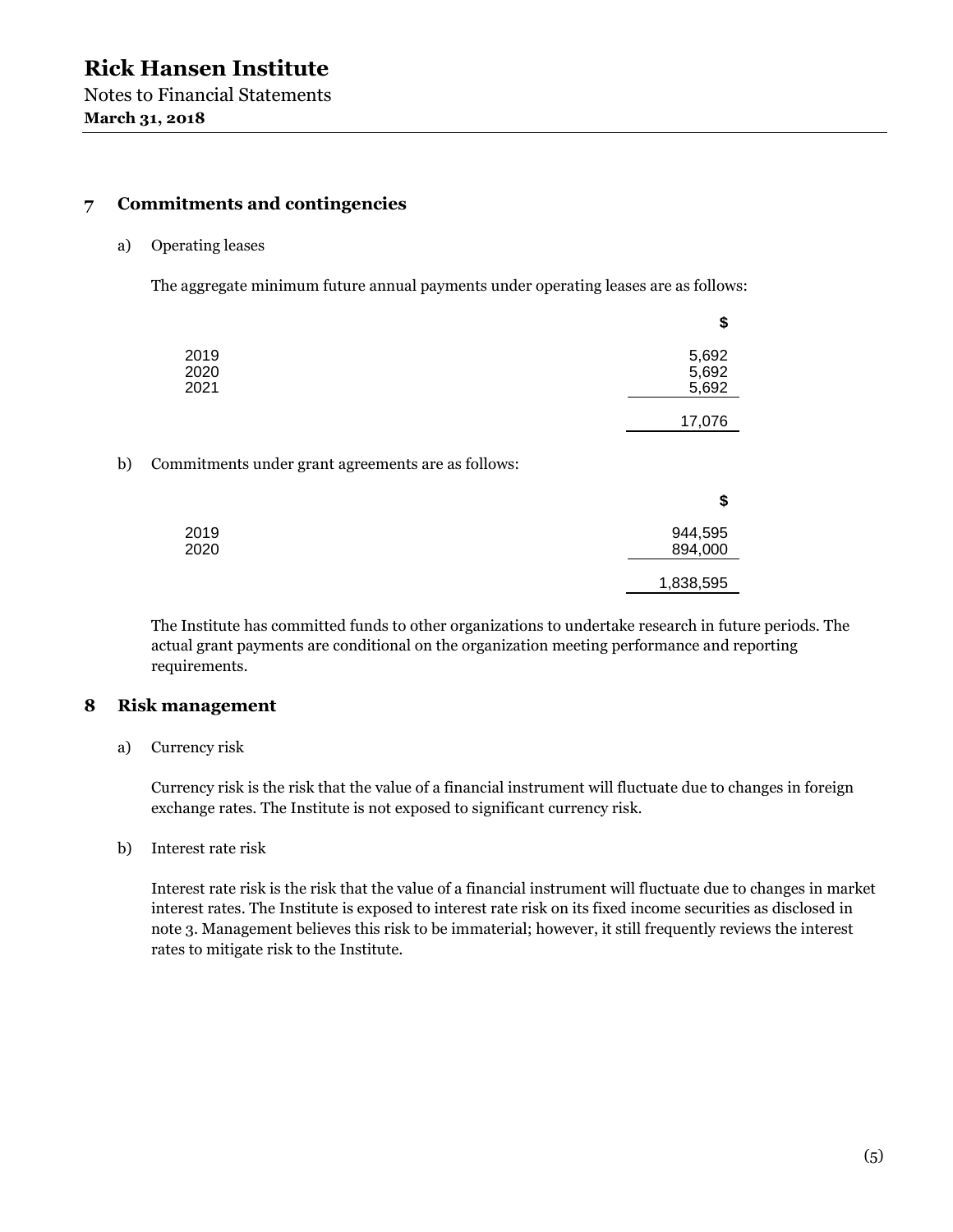#### **7 Commitments and contingencies**

#### a) Operating leases

The aggregate minimum future annual payments under operating leases are as follows:

|    |                                                    | \$                      |
|----|----------------------------------------------------|-------------------------|
|    | 2019<br>2020<br>2021                               | 5,692<br>5,692<br>5,692 |
|    |                                                    | 17,076                  |
| b) | Commitments under grant agreements are as follows: |                         |
|    |                                                    | \$                      |
|    | 2019<br>2020                                       | 944,595<br>894,000      |
|    |                                                    | 1,838,595               |

The Institute has committed funds to other organizations to undertake research in future periods. The actual grant payments are conditional on the organization meeting performance and reporting requirements.

#### **8 Risk management**

a) Currency risk

Currency risk is the risk that the value of a financial instrument will fluctuate due to changes in foreign exchange rates. The Institute is not exposed to significant currency risk.

b) Interest rate risk

Interest rate risk is the risk that the value of a financial instrument will fluctuate due to changes in market interest rates. The Institute is exposed to interest rate risk on its fixed income securities as disclosed in note 3. Management believes this risk to be immaterial; however, it still frequently reviews the interest rates to mitigate risk to the Institute.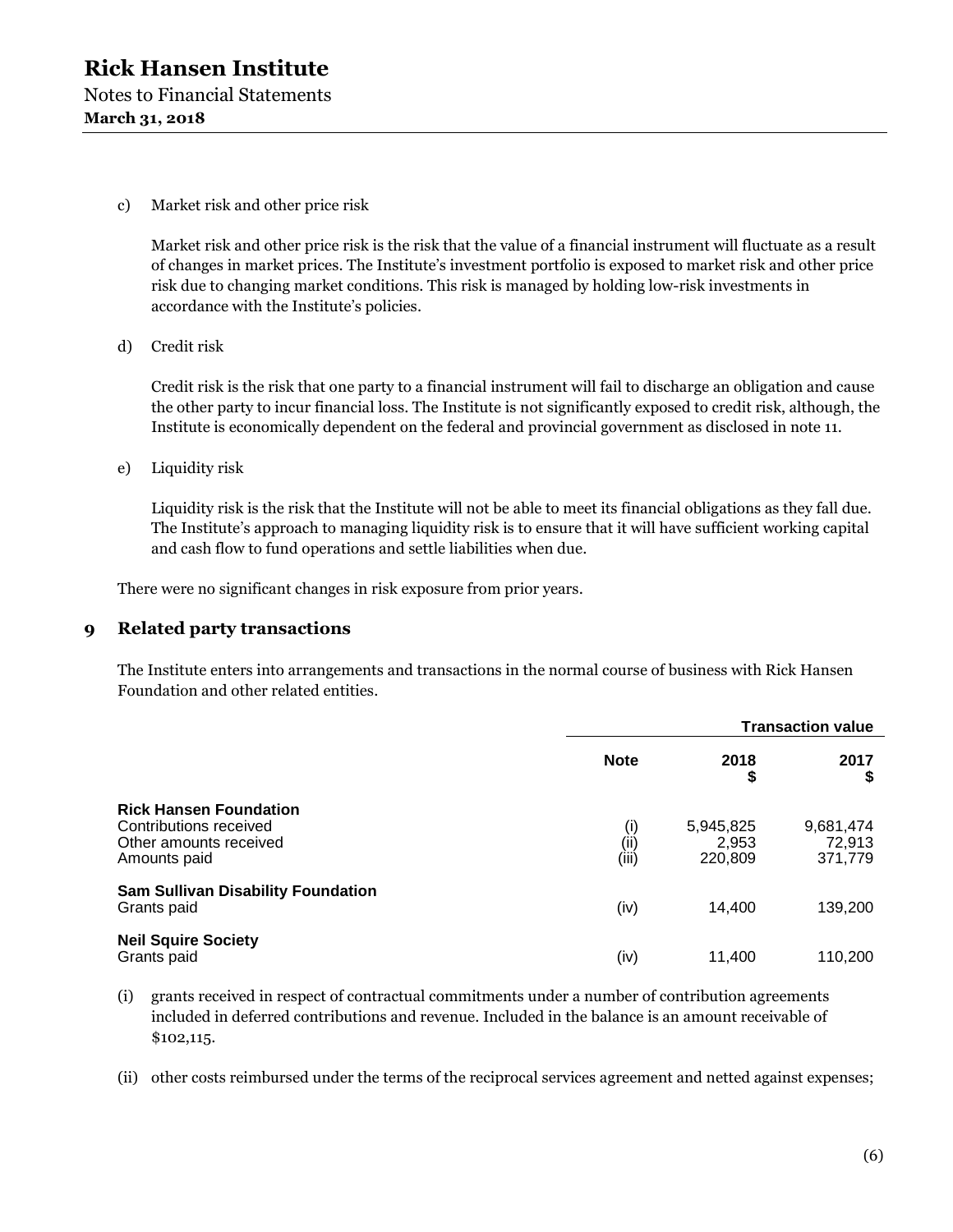c) Market risk and other price risk

Market risk and other price risk is the risk that the value of a financial instrument will fluctuate as a result of changes in market prices. The Institute's investment portfolio is exposed to market risk and other price risk due to changing market conditions. This risk is managed by holding low-risk investments in accordance with the Institute's policies.

d) Credit risk

Credit risk is the risk that one party to a financial instrument will fail to discharge an obligation and cause the other party to incur financial loss. The Institute is not significantly exposed to credit risk, although, the Institute is economically dependent on the federal and provincial government as disclosed in note 11.

e) Liquidity risk

Liquidity risk is the risk that the Institute will not be able to meet its financial obligations as they fall due. The Institute's approach to managing liquidity risk is to ensure that it will have sufficient working capital and cash flow to fund operations and settle liabilities when due.

There were no significant changes in risk exposure from prior years.

#### **9 Related party transactions**

The Institute enters into arrangements and transactions in the normal course of business with Rick Hansen Foundation and other related entities.

|                                                                                                   |                      | <b>Transaction value</b>      |                                |  |
|---------------------------------------------------------------------------------------------------|----------------------|-------------------------------|--------------------------------|--|
|                                                                                                   | <b>Note</b>          | 2018<br>\$                    | 2017                           |  |
| <b>Rick Hansen Foundation</b><br>Contributions received<br>Other amounts received<br>Amounts paid | (i)<br>(ii)<br>(iii) | 5,945,825<br>2,953<br>220,809 | 9,681,474<br>72,913<br>371,779 |  |
| <b>Sam Sullivan Disability Foundation</b><br>Grants paid                                          | (iv)                 | 14,400                        | 139,200                        |  |
| <b>Neil Squire Society</b><br>Grants paid                                                         | (iv)                 | 11.400                        | 110,200                        |  |

(i) grants received in respect of contractual commitments under a number of contribution agreements included in deferred contributions and revenue. Included in the balance is an amount receivable of \$102,115.

(ii) other costs reimbursed under the terms of the reciprocal services agreement and netted against expenses;